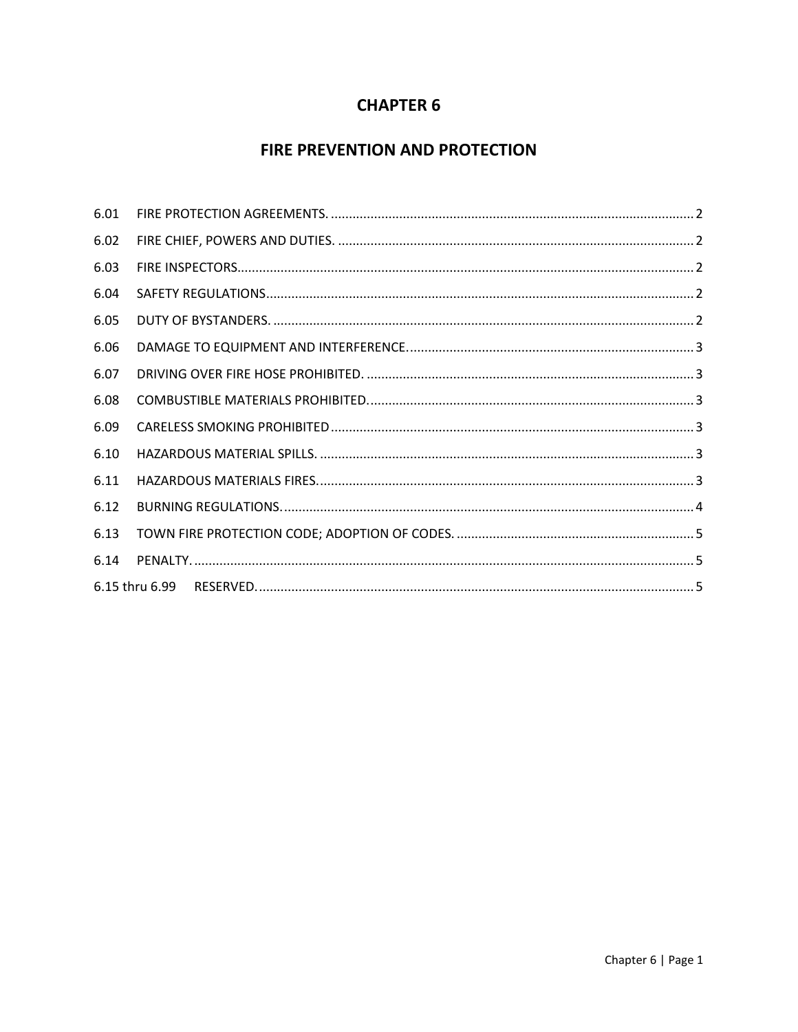## **CHAPTER 6**

# FIRE PREVENTION AND PROTECTION

| 6.01 |  |
|------|--|
| 6.02 |  |
| 6.03 |  |
| 6.04 |  |
| 6.05 |  |
| 6.06 |  |
| 6.07 |  |
| 6.08 |  |
| 6.09 |  |
| 6.10 |  |
| 6.11 |  |
| 6.12 |  |
| 6.13 |  |
| 6.14 |  |
|      |  |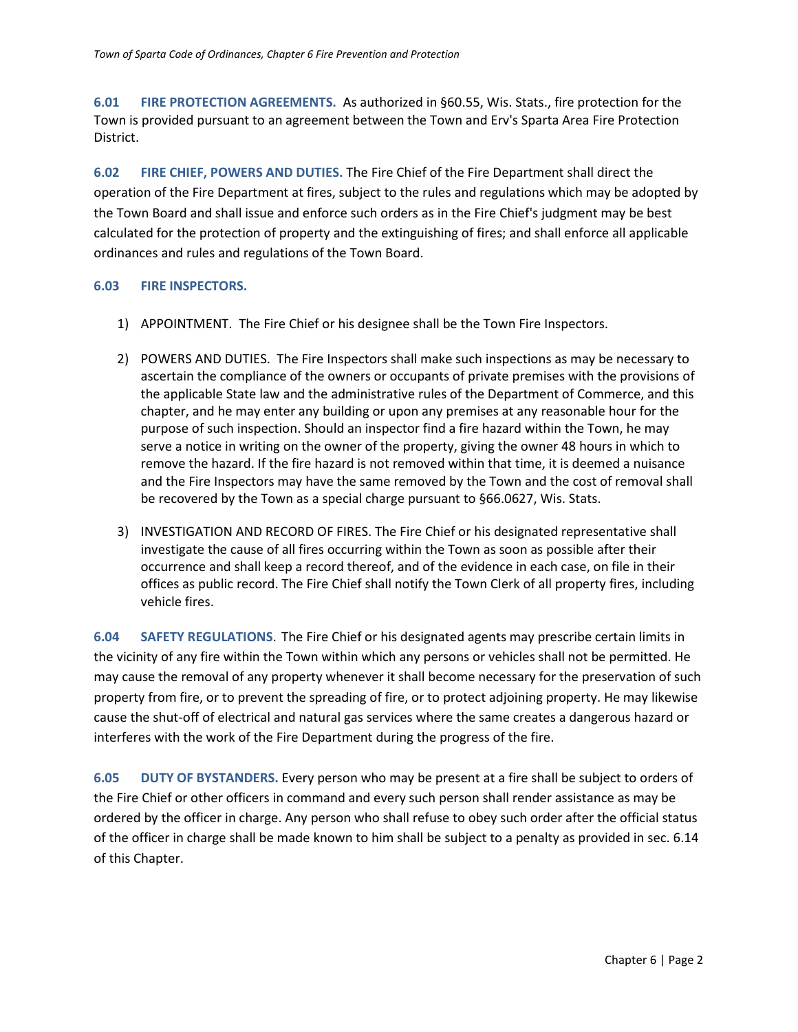<span id="page-1-0"></span>**6.01 FIRE PROTECTION AGREEMENTS.** As authorized in §60.55, Wis. Stats., fire protection for the Town is provided pursuant to an agreement between the Town and Erv's Sparta Area Fire Protection District.

<span id="page-1-1"></span>**6.02 FIRE CHIEF, POWERS AND DUTIES.** The Fire Chief of the Fire Department shall direct the operation of the Fire Department at fires, subject to the rules and regulations which may be adopted by the Town Board and shall issue and enforce such orders as in the Fire Chief's judgment may be best calculated for the protection of property and the extinguishing of fires; and shall enforce all applicable ordinances and rules and regulations of the Town Board.

## <span id="page-1-2"></span>**6.03 FIRE INSPECTORS.**

- 1) APPOINTMENT. The Fire Chief or his designee shall be the Town Fire Inspectors.
- 2) POWERS AND DUTIES. The Fire Inspectors shall make such inspections as may be necessary to ascertain the compliance of the owners or occupants of private premises with the provisions of the applicable State law and the administrative rules of the Department of Commerce, and this chapter, and he may enter any building or upon any premises at any reasonable hour for the purpose of such inspection. Should an inspector find a fire hazard within the Town, he may serve a notice in writing on the owner of the property, giving the owner 48 hours in which to remove the hazard. If the fire hazard is not removed within that time, it is deemed a nuisance and the Fire Inspectors may have the same removed by the Town and the cost of removal shall be recovered by the Town as a special charge pursuant to §66.0627, Wis. Stats.
- 3) INVESTIGATION AND RECORD OF FIRES. The Fire Chief or his designated representative shall investigate the cause of all fires occurring within the Town as soon as possible after their occurrence and shall keep a record thereof, and of the evidence in each case, on file in their offices as public record. The Fire Chief shall notify the Town Clerk of all property fires, including vehicle fires.

<span id="page-1-3"></span>**6.04 SAFETY REGULATIONS**. The Fire Chief or his designated agents may prescribe certain limits in the vicinity of any fire within the Town within which any persons or vehicles shall not be permitted. He may cause the removal of any property whenever it shall become necessary for the preservation of such property from fire, or to prevent the spreading of fire, or to protect adjoining property. He may likewise cause the shut-off of electrical and natural gas services where the same creates a dangerous hazard or interferes with the work of the Fire Department during the progress of the fire.

<span id="page-1-4"></span>**6.05 DUTY OF BYSTANDERS.** Every person who may be present at a fire shall be subject to orders of the Fire Chief or other officers in command and every such person shall render assistance as may be ordered by the officer in charge. Any person who shall refuse to obey such order after the official status of the officer in charge shall be made known to him shall be subject to a penalty as provided in sec. 6.14 of this Chapter.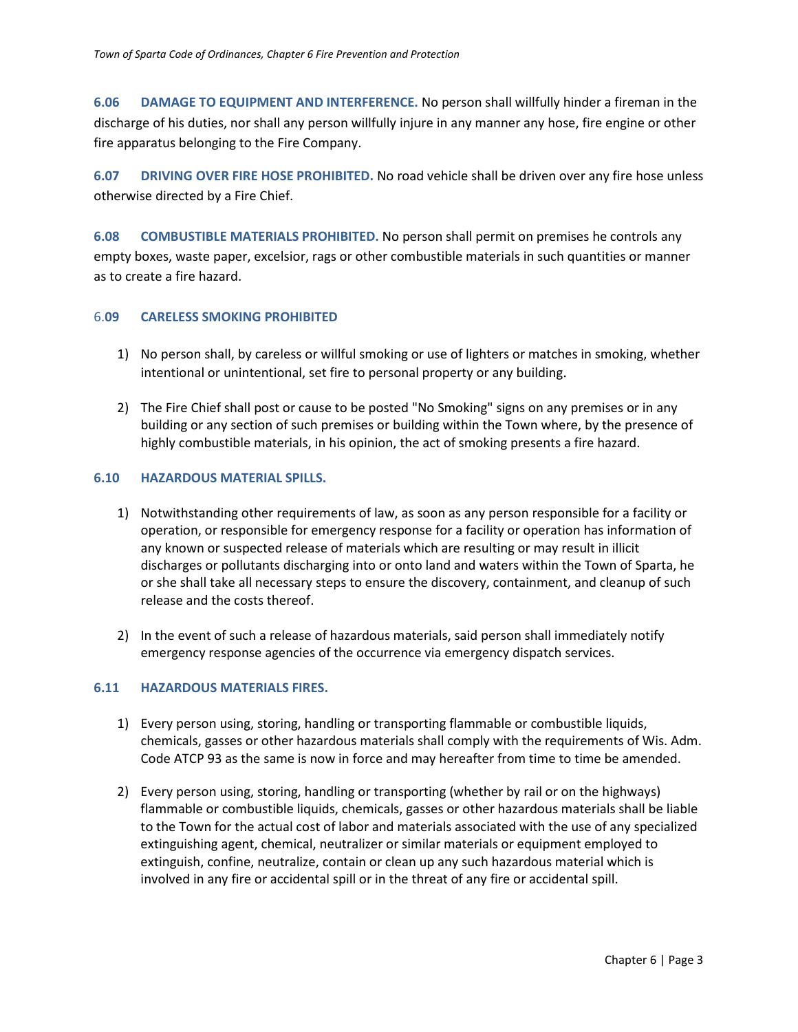<span id="page-2-0"></span>**6.06 DAMAGE TO EQUIPMENT AND INTERFERENCE.** No person shall willfully hinder a fireman in the discharge of his duties, nor shall any person willfully injure in any manner any hose, fire engine or other fire apparatus belonging to the Fire Company.

<span id="page-2-1"></span>**6.07 DRIVING OVER FIRE HOSE PROHIBITED.** No road vehicle shall be driven over any fire hose unless otherwise directed by a Fire Chief.

<span id="page-2-2"></span>**6.08 COMBUSTIBLE MATERIALS PROHIBITED.** No person shall permit on premises he controls any empty boxes, waste paper, excelsior, rags or other combustible materials in such quantities or manner as to create a fire hazard.

## <span id="page-2-3"></span>6.**09 CARELESS SMOKING PROHIBITED**

- 1) No person shall, by careless or willful smoking or use of lighters or matches in smoking, whether intentional or unintentional, set fire to personal property or any building.
- 2) The Fire Chief shall post or cause to be posted "No Smoking" signs on any premises or in any building or any section of such premises or building within the Town where, by the presence of highly combustible materials, in his opinion, the act of smoking presents a fire hazard.

#### <span id="page-2-4"></span>**6.10 HAZARDOUS MATERIAL SPILLS.**

- 1) Notwithstanding other requirements of law, as soon as any person responsible for a facility or operation, or responsible for emergency response for a facility or operation has information of any known or suspected release of materials which are resulting or may result in illicit discharges or pollutants discharging into or onto land and waters within the Town of Sparta, he or she shall take all necessary steps to ensure the discovery, containment, and cleanup of such release and the costs thereof.
- 2) In the event of such a release of hazardous materials, said person shall immediately notify emergency response agencies of the occurrence via emergency dispatch services.

## <span id="page-2-5"></span>**6.11 HAZARDOUS MATERIALS FIRES.**

- 1) Every person using, storing, handling or transporting flammable or combustible liquids, chemicals, gasses or other hazardous materials shall comply with the requirements of Wis. Adm. Code ATCP 93 as the same is now in force and may hereafter from time to time be amended.
- 2) Every person using, storing, handling or transporting (whether by rail or on the highways) flammable or combustible liquids, chemicals, gasses or other hazardous materials shall be liable to the Town for the actual cost of labor and materials associated with the use of any specialized extinguishing agent, chemical, neutralizer or similar materials or equipment employed to extinguish, confine, neutralize, contain or clean up any such hazardous material which is involved in any fire or accidental spill or in the threat of any fire or accidental spill.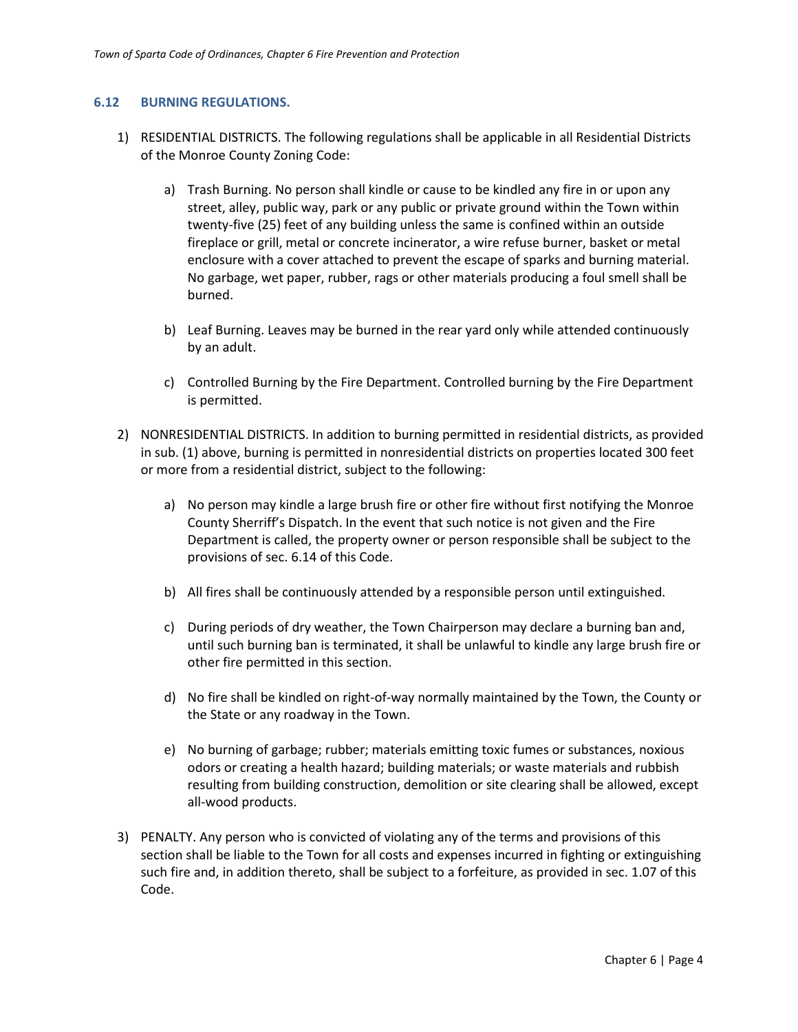#### <span id="page-3-0"></span>**6.12 BURNING REGULATIONS.**

- 1) RESIDENTIAL DISTRICTS. The following regulations shall be applicable in all Residential Districts of the Monroe County Zoning Code:
	- a) Trash Burning. No person shall kindle or cause to be kindled any fire in or upon any street, alley, public way, park or any public or private ground within the Town within twenty-five (25) feet of any building unless the same is confined within an outside fireplace or grill, metal or concrete incinerator, a wire refuse burner, basket or metal enclosure with a cover attached to prevent the escape of sparks and burning material. No garbage, wet paper, rubber, rags or other materials producing a foul smell shall be burned.
	- b) Leaf Burning. Leaves may be burned in the rear yard only while attended continuously by an adult.
	- c) Controlled Burning by the Fire Department. Controlled burning by the Fire Department is permitted.
- 2) NONRESIDENTIAL DISTRICTS. In addition to burning permitted in residential districts, as provided in sub. (1) above, burning is permitted in nonresidential districts on properties located 300 feet or more from a residential district, subject to the following:
	- a) No person may kindle a large brush fire or other fire without first notifying the Monroe County Sherriff's Dispatch. In the event that such notice is not given and the Fire Department is called, the property owner or person responsible shall be subject to the provisions of sec. 6.14 of this Code.
	- b) All fires shall be continuously attended by a responsible person until extinguished.
	- c) During periods of dry weather, the Town Chairperson may declare a burning ban and, until such burning ban is terminated, it shall be unlawful to kindle any large brush fire or other fire permitted in this section.
	- d) No fire shall be kindled on right-of-way normally maintained by the Town, the County or the State or any roadway in the Town.
	- e) No burning of garbage; rubber; materials emitting toxic fumes or substances, noxious odors or creating a health hazard; building materials; or waste materials and rubbish resulting from building construction, demolition or site clearing shall be allowed, except all-wood products.
- 3) PENALTY. Any person who is convicted of violating any of the terms and provisions of this section shall be liable to the Town for all costs and expenses incurred in fighting or extinguishing such fire and, in addition thereto, shall be subject to a forfeiture, as provided in sec. 1.07 of this Code.